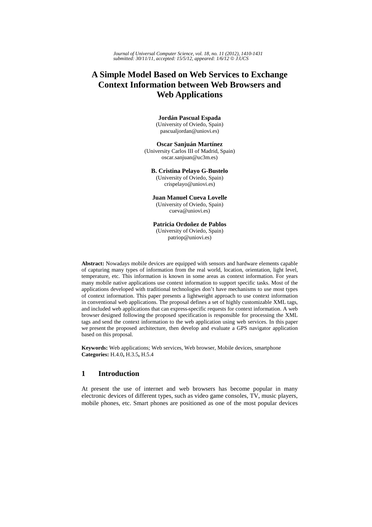*Journal of Universal Computer Science, vol. 18, no. 11 (2012), 1410-1431 submitted: 30/11/11, accepted: 15/5/12, appeared: 1/6/12* © *J.UCS*

# **A Simple Model Based on Web Services to Exchange Context Information between Web Browsers and Web Applications**

#### **Jordán Pascual Espada**

(University of Oviedo, Spain) pascualjordan@uniovi.es)

**Oscar Sanjuán Martínez**  (University Carlos III of Madrid, Spain) oscar.sanjuan@uc3m.es)

#### **B. Cristina Pelayo G-Bustelo**

(University of Oviedo, Spain) crispelayo@uniovi.es)

**Juan Manuel Cueva Lovelle** 

(University of Oviedo, Spain)

cueva@uniovi.es)

# **Patricia Ordoñez de Pablos**

(University of Oviedo, Spain) patriop@uniovi.es)

**Abstract:** Nowadays mobile devices are equipped with sensors and hardware elements capable of capturing many types of information from the real world, location, orientation, light level, temperature, etc. This information is known in some areas as context information. For years many mobile native applications use context information to support specific tasks. Most of the applications developed with traditional technologies don't have mechanisms to use most types of context information. This paper presents a lightweight approach to use context information in conventional web applications. The proposal defines a set of highly customizable XML tags, and included web applications that can express specific requests for context information. A web browser designed following the proposed specification is responsible for processing the XML tags and send the context information to the web application using web services. In this paper we present the proposed architecture, then develop and evaluate a GPS navigator application based on this proposal.

**Keywords:** Web applications; Web services, Web browser, Mobile devices, smartphone **Categories:** H.4.0**,** H.3.5**,** H.5.4

# **1 Introduction**

At present the use of internet and web browsers has become popular in many electronic devices of different types, such as video game consoles, TV, music players, mobile phones, etc. Smart phones are positioned as one of the most popular devices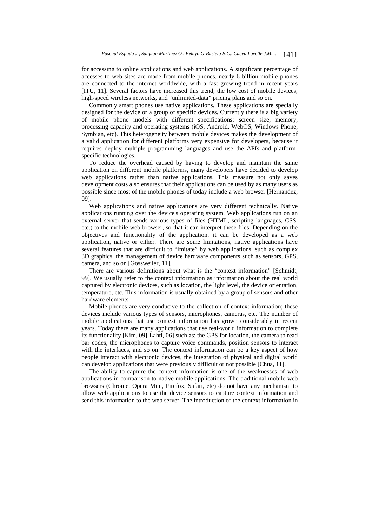for accessing to online applications and web applications. A significant percentage of accesses to web sites are made from mobile phones, nearly 6 billion mobile phones are connected to the internet worldwide, with a fast growing trend in recent years [ITU, 11]. Several factors have increased this trend, the low cost of mobile devices, high-speed wireless networks, and "unlimited-data" pricing plans and so on.

Commonly smart phones use native applications. These applications are specially designed for the device or a group of specific devices. Currently there is a big variety of mobile phone models with different specifications: screen size, memory, processing capacity and operating systems (iOS, Android, WebOS, Windows Phone, Symbian, etc). This heterogeneity between mobile devices makes the development of a valid application for different platforms very expensive for developers, because it requires deploy multiple programming languages and use the APIs and platformspecific technologies.

To reduce the overhead caused by having to develop and maintain the same application on different mobile platforms, many developers have decided to develop web applications rather than native applications. This measure not only saves development costs also ensures that their applications can be used by as many users as possible since most of the mobile phones of today include a web browser [Hernandez, 09].

Web applications and native applications are very different technically. Native applications running over the device's operating system, Web applications run on an external server that sends various types of files (HTML, scripting languages, CSS, etc.) to the mobile web browser, so that it can interpret these files. Depending on the objectives and functionality of the application, it can be developed as a web application, native or either. There are some limitations, native applications have several features that are difficult to "imitate" by web applications, such as complex 3D graphics, the management of device hardware components such as sensors, GPS, camera, and so on [Gossweiler, 11].

There are various definitions about what is the "context information" [Schmidt, 99]. We usually refer to the context information as information about the real world captured by electronic devices, such as location, the light level, the device orientation, temperature, etc. This information is usually obtained by a group of sensors and other hardware elements.

Mobile phones are very conducive to the collection of context information; these devices include various types of sensors, microphones, cameras, etc. The number of mobile applications that use context information has grown considerably in recent years. Today there are many applications that use real-world information to complete its functionality [Kim, 09][Lahti, 06] such as: the GPS for location, the camera to read bar codes, the microphones to capture voice commands, position sensors to interact with the interfaces, and so on. The context information can be a key aspect of how people interact with electronic devices, the integration of physical and digital world can develop applications that were previously difficult or not possible [Chua, 11].

The ability to capture the context information is one of the weaknesses of web applications in comparison to native mobile applications. The traditional mobile web browsers (Chrome, Opera Mini, Firefox, Safari, etc) do not have any mechanism to allow web applications to use the device sensors to capture context information and send this information to the web server. The introduction of the context information in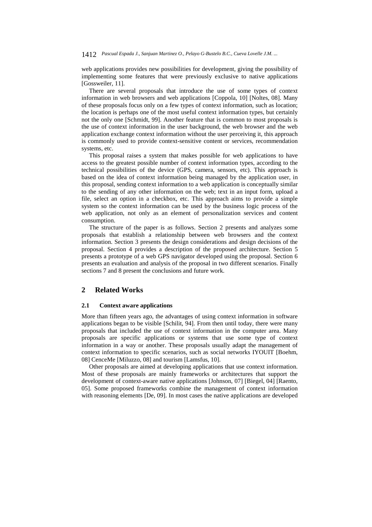web applications provides new possibilities for development, giving the possibility of implementing some features that were previously exclusive to native applications [Gossweiler, 11].

There are several proposals that introduce the use of some types of context information in web browsers and web applications [Coppola, 10] [Noltes, 08]. Many of these proposals focus only on a few types of context information, such as location; the location is perhaps one of the most useful context information types, but certainly not the only one [Schmidt, 99]. Another feature that is common to most proposals is the use of context information in the user background, the web browser and the web application exchange context information without the user perceiving it, this approach is commonly used to provide context-sensitive content or services, recommendation systems, etc.

This proposal raises a system that makes possible for web applications to have access to the greatest possible number of context information types, according to the technical possibilities of the device (GPS, camera, sensors, etc). This approach is based on the idea of context information being managed by the application user, in this proposal, sending context information to a web application is conceptually similar to the sending of any other information on the web; text in an input form, upload a file, select an option in a checkbox, etc. This approach aims to provide a simple system so the context information can be used by the business logic process of the web application, not only as an element of personalization services and content consumption.

The structure of the paper is as follows. Section 2 presents and analyzes some proposals that establish a relationship between web browsers and the context information. Section 3 presents the design considerations and design decisions of the proposal. Section 4 provides a description of the proposed architecture. Section 5 presents a prototype of a web GPS navigator developed using the proposal. Section 6 presents an evaluation and analysis of the proposal in two different scenarios. Finally sections 7 and 8 present the conclusions and future work.

## **2 Related Works**

#### **2.1 Context aware applications**

More than fifteen years ago, the advantages of using context information in software applications began to be visible [Schilit, 94]. From then until today, there were many proposals that included the use of context information in the computer area. Many proposals are specific applications or systems that use some type of context information in a way or another. These proposals usually adapt the management of context information to specific scenarios, such as social networks IYOUIT [Boehm, 08] CenceMe [Miluzzo, 08] and tourism [Lamsfus, 10].

Other proposals are aimed at developing applications that use context information. Most of these proposals are mainly frameworks or architectures that support the development of context-aware native applications [Johnson, 07] [Biegel, 04] [Raento, 05]. Some proposed frameworks combine the management of context information with reasoning elements [De, 09]. In most cases the native applications are developed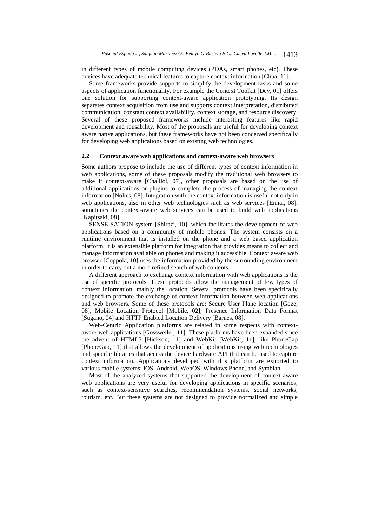in different types of mobile computing devices (PDAs, smart phones, etc). These devices have adequate technical features to capture context information [Chua, 11].

Some frameworks provide supports to simplify the development tasks and some aspects of application functionality. For example the Context Toolkit [Dey, 01] offers one solution for supporting context-aware application prototyping. Its design separates context acquisition from use and supports context interpretation, distributed communication, constant context availability, context storage, and resource discovery. Several of these proposed frameworks include interesting features like rapid development and reusability. Most of the proposals are useful for developing context aware native applications, but these frameworks have not been conceived specifically for developing web applications based on existing web technologies.

#### **2.2 Context aware web applications and context-aware web browsers**

Some authors propose to include the use of different types of context information in web applications, some of these proposals modify the traditional web browsers to make it context-aware [Challiol, 07], other proposals are based on the use of additional applications or plugins to complete the process of managing the context information [Noltes, 08]. Integration with the context information is useful not only in web applications, also in other web technologies such as web services [Ennai, 08], sometimes the context-aware web services can be used to build web applications [Kapitsaki, 08].

SENSE-SATION system [Shirazi, 10], which facilitates the development of web applications based on a community of mobile phones. The system consists on a runtime environment that is installed on the phone and a web based application platform. It is an extensible platform for integration that provides means to collect and manage information available on phones and making it accessible. Context aware web browser [Coppola, 10] uses the information provided by the surrounding environment in order to carry out a more refined search of web contents.

A different approach to exchange context information with web applications is the use of specific protocols. These protocols allow the management of few types of context information, mainly the location. Several protocols have been specifically designed to promote the exchange of context information between web applications and web browsers. Some of these protocols are: Secure User Plane location [Goze, 08], Mobile Location Protocol [Mobile, 02], Presence Information Data Format [Sugano, 04] and HTTP Enabled Location Delivery [Barnes, 08].

Web-Centric Application platforms are related in some respects with contextaware web applications [Gossweiler, 11]. These platforms have been expanded since the advent of HTML5 [Hickson, 11] and WebKit [WebKit, 11], like PhoneGap [PhoneGap, 11] that allows the development of applications using web technologies and specific libraries that access the device hardware API that can be used to capture context information. Applications developed with this platform are exported to various mobile systems: iOS, Android, WebOS, Windows Phone, and Symbian.

Most of the analyzed systems that supported the development of context-aware web applications are very useful for developing applications in specific scenarios, such as context-sensitive searches, recommendation systems, social networks, tourism, etc. But these systems are not designed to provide normalized and simple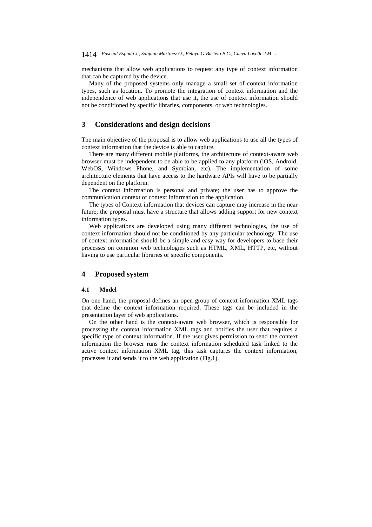mechanisms that allow web applications to request any type of context information that can be captured by the device.

Many of the proposed systems only manage a small set of context information types, such as location. To promote the integration of context information and the independence of web applications that use it, the use of context information should not be conditioned by specific libraries, components, or web technologies.

# **3 Considerations and design decisions**

The main objective of the proposal is to allow web applications to use all the types of context information that the device is able to capture.

There are many different mobile platforms, the architecture of context-aware web browser must be independent to be able to be applied to any platform (iOS, Android, WebOS, Windows Phone, and Symbian, etc). The implementation of some architecture elements that have access to the hardware APIs will have to be partially dependent on the platform.

The context information is personal and private; the user has to approve the communication context of context information to the application.

The types of Context information that devices can capture may increase in the near future; the proposal must have a structure that allows adding support for new context information types.

Web applications are developed using many different technologies, the use of context information should not be conditioned by any particular technology. The use of context information should be a simple and easy way for developers to base their processes on common web technologies such as HTML, XML, HTTP, etc, without having to use particular libraries or specific components.

# **4 Proposed system**

# **4.1 Model**

On one hand, the proposal defines an open group of context information XML tags that define the context information required. These tags can be included in the presentation layer of web applications.

On the other hand is the context-aware web browser, which is responsible for processing the context information XML tags and notifies the user that requires a specific type of context information. If the user gives permission to send the context information the browser runs the context information scheduled task linked to the active context information XML tag, this task captures the context information, processes it and sends it to the web application (Fig.1).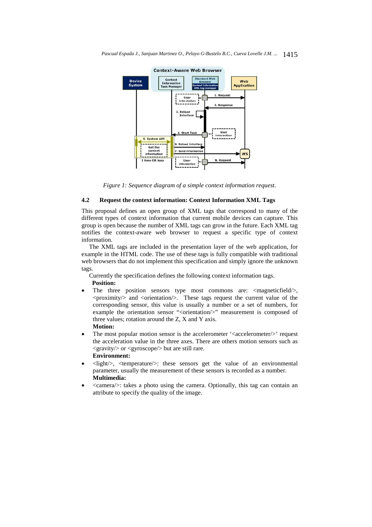

*Figure 1: Sequence diagram of a simple context information request.* 

# **4.2 Request the context information: Context Information XML Tags**

This proposal defines an open group of XML tags that correspond to many of the different types of context information that current mobile devices can capture. This group is open because the number of XML tags can grow in the future. Each XML tag notifies the context-aware web browser to request a specific type of context information.

The XML tags are included in the presentation layer of the web application, for example in the HTML code. The use of these tags is fully compatible with traditional web browsers that do not implement this specification and simply ignore the unknown tags.

Currently the specification defines the following context information tags.  **Position:** 

- The three position sensors type most commons are: <magneticfield/>,  $\langle$ proximity $\rangle$  and  $\langle$ orientation $\rangle$ . These tags request the current value of the corresponding sensor, this value is usually a number or a set of numbers, for example the orientation sensor "<orientation/>" measurement is composed of three values; rotation around the Z, X and Y axis. **Motion:**
- The most popular motion sensor is the accelerometer '<accelerometer/>' request the acceleration value in the three axes. There are others motion sensors such as <gravity/> or <gyroscope/> but are still rare. **Environment:**
- <light/>, <temperature/>: these sensors get the value of an environmental parameter, usually the measurement of these sensors is recorded as a number. **Multimedia:**
- <camera/>: takes a photo using the camera. Optionally, this tag can contain an attribute to specify the quality of the image.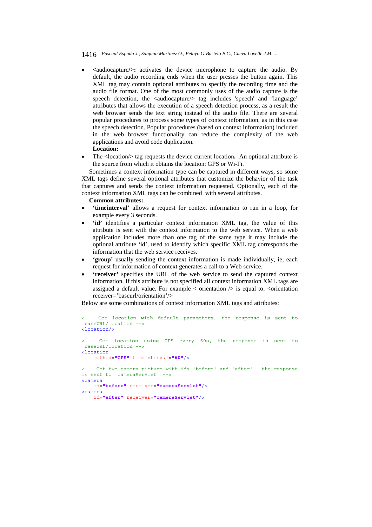- **<**audiocapture**/>:** activates the device microphone to capture the audio. By default, the audio recording ends when the user presses the button again. This XML tag may contain optional attributes to specify the recording time and the audio file format. One of the most commonly uses of the audio capture is the speech detection, the <audiocapture/> tag includes 'speech' and 'language' attributes that allows the execution of a speech detection process, as a result the web browser sends the text string instead of the audio file. There are several popular procedures to process some types of context information, as in this case the speech detection. Popular procedures (based on context information) included in the web browser functionality can reduce the complexity of the web applications and avoid code duplication. **Location:**
- The <location/> tag requests the device current location**.** An optional attribute is the source from which it obtains the location: GPS or Wi-Fi.

Sometimes a context information type can be captured in different ways, so some XML tags define several optional attributes that customize the behavior of the task that captures and sends the context information requested. Optionally, each of the context information XML tags can be combined with several attributes.

#### **Common attributes:**

- **'timeinterval'** allows a request for context information to run in a loop, for example every 3 seconds.
- **'id'** identifies a particular context information XML tag, the value of this attribute is sent with the context information to the web service. When a web application includes more than one tag of the same type it may include the optional attribute 'id', used to identify which specific XML tag corresponds the information that the web service receives.
- **'group'** usually sending the context information is made individually, ie, each request for information of context generates a call to a Web service.
- **'receiver'** specifies the URL of the web service to send the captured context information. If this attribute is not specified all context information XML tags are assigned a default value. For example  $\lt$  orientation  $\gt$  is equal to:  $\lt$ orientation receiver='baseurl/orientation'/>

Below are some combinations of context information XML tags and attributes:

```
<!-- Get location with default parameters, the response is sent to 
'baseURL/location'-->
<location/>
<!-- Get location using GPS every 60s, the response is sent to 
'baseURL/location'-->
<location 
    method="GPS" timeinterval="60"/>
<!-- Get two camera picture with ids 'before' and 'after', the response 
is sent to 'cameraServlet' -->
<camera 
    id="before" receiver="cameraServlet"/>
<camera 
    id="after" receiver="cameraServlet"/>
```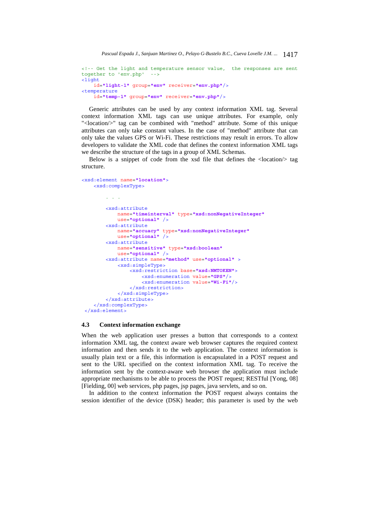<!-- Get the light and temperature sensor value, the responses are sent together to 'env.php' --> <light id=**"light-1"** group=**"env"** receiver=**"env.php"**/> <temperature id=**"temp-1"** group=**"env"** receiver=**"env.php"**/>

Generic attributes can be used by any context information XML tag. Several context information XML tags can use unique attributes. For example, only "<location/>" tag can be combined with "method" attribute. Some of this unique attributes can only take constant values. In the case of "method" attribute that can only take the values GPS or Wi-Fi. These restrictions may result in errors. To allow developers to validate the XML code that defines the context information XML tags we describe the structure of the tags in a group of XML Schemas.

Below is a snippet of code from the xsd file that defines the <location/> tag structure.

```
<xsd:element name="location">
     <xsd:complexType>
         . . . 
         <xsd:attribute 
             name="timeinterval" type="xsd:nonNegativeInteger" 
             use="optional" /> 
         <xsd:attribute 
             name="accuacy" type="xsd:nonNegativeInteger" 
             use="optional" />
         <xsd:attribute 
             name="sensitive" type="xsd:boolean" 
             use="optional" />
         <xsd:attribute name="method" use="optional" >
             <xsd:simpleType>
                 <xsd:restriction base="xsd:NMTOKEN">
                     <xsd:enumeration value="GPS"/>
                     <xsd:enumeration value="Wi-Fi"/>
                 </xsd:restriction>
             </xsd:simpleType>
         </xsd:attribute>
     </xsd:complexType>
</xsd:element>
```
#### **4.3 Context information exchange**

When the web application user presses a button that corresponds to a context information XML tag, the context aware web browser captures the required context information and then sends it to the web application. The context information is usually plain text or a file, this information is encapsulated in a POST request and sent to the URL specified on the context information XML tag. To receive the information sent by the context-aware web browser the application must include appropriate mechanisms to be able to process the POST request; RESTful [Yong, 08] [Fielding, 00] web services, php pages, jsp pages, java servlets, and so on.

In addition to the context information the POST request always contains the session identifier of the device (DSK) header; this parameter is used by the web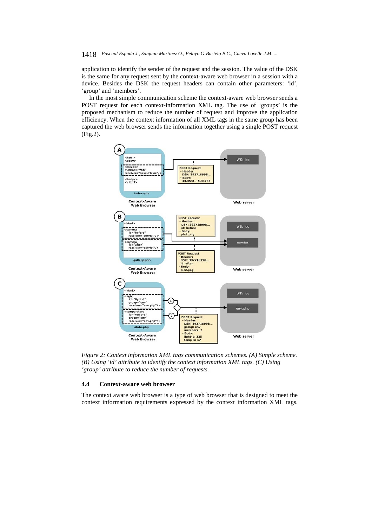application to identify the sender of the request and the session. The value of the DSK is the same for any request sent by the context-aware web browser in a session with a device. Besides the DSK the request headers can contain other parameters: 'id', 'group' and 'members'.

In the most simple communication scheme the context-aware web browser sends a POST request for each context-information XML tag. The use of 'groups' is the proposed mechanism to reduce the number of request and improve the application efficiency. When the context information of all XML tags in the same group has been captured the web browser sends the information together using a single POST request (Fig.2).



*Figure 2: Context information XML tags communication schemes. (A) Simple scheme. (B) Using 'id' attribute to identify the context information XML tags. (C) Using 'group' attribute to reduce the number of requests.* 

#### **4.4 Context-aware web browser**

The context aware web browser is a type of web browser that is designed to meet the context information requirements expressed by the context information XML tags.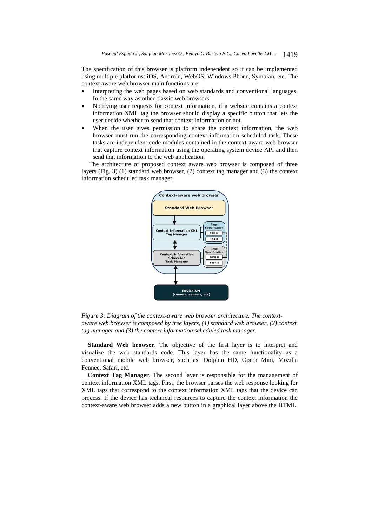The specification of this browser is platform independent so it can be implemented using multiple platforms: iOS, Android, WebOS, Windows Phone, Symbian, etc. The context aware web browser main functions are:

- Interpreting the web pages based on web standards and conventional languages. In the same way as other classic web browsers.
- Notifying user requests for context information, if a website contains a context information XML tag the browser should display a specific button that lets the user decide whether to send that context information or not.
- When the user gives permission to share the context information, the web browser must run the corresponding context information scheduled task. These tasks are independent code modules contained in the context-aware web browser that capture context information using the operating system device API and then send that information to the web application.

The architecture of proposed context aware web browser is composed of three layers (Fig. 3) (1) standard web browser, (2) context tag manager and (3) the context information scheduled task manager.



*Figure 3: Diagram of the context-aware web browser architecture. The contextaware web browser is composed by tree layers, (1) standard web browser, (2) context tag manager and (3) the context information scheduled task manager.* 

**Standard Web browser**. The objective of the first layer is to interpret and visualize the web standards code. This layer has the same functionality as a conventional mobile web browser, such as: Dolphin HD, Opera Mini, Mozilla Fennec, Safari, etc.

**Context Tag Manager**. The second layer is responsible for the management of context information XML tags. First, the browser parses the web response looking for XML tags that correspond to the context information XML tags that the device can process. If the device has technical resources to capture the context information the context-aware web browser adds a new button in a graphical layer above the HTML.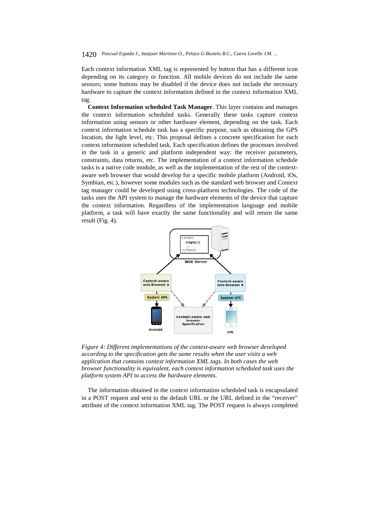Each context information XML tag is represented by button that has a different icon depending on its category or function. All mobile devices do not include the same sensors; some buttons may be disabled if the device does not include the necessary hardware to capture the context information defined in the context information XML tag.

**Context Information scheduled Task Manager**. This layer contains and manages the context information scheduled tasks. Generally these tasks capture context information using sensors or other hardware element, depending on the task. Each context information schedule task has a specific purpose, such as obtaining the GPS location, the light level, etc. This proposal defines a concrete specification for each context information scheduled task. Each specification defines the processes involved in the task in a generic and platform independent way: the receiver parameters, constraints, data returns, etc. The implementation of a context information schedule tasks is a native code module, as well as the implementation of the rest of the contextaware web browser that would develop for a specific mobile platform (Android, iOs, Symbian, etc.), however some modules such as the standard web browser and Context tag manager could be developed using cross-platform technologies. The code of the tasks uses the API system to manage the hardware elements of the device that capture the context information. Regardless of the implementation language and mobile platform, a task will have exactly the same functionality and will return the same result (Fig. 4).



*Figure 4: Different implementations of the context-aware web browser developed according to the specification gets the same results when the user visits a web application that contains context information XML tags. In both cases the web browser functionality is equivalent, each context information scheduled task uses the platform system API to access the hardware elements.* 

The information obtained in the context information scheduled task is encapsulated in a POST request and sent to the default URL or the URL defined in the "receiver" attribute of the context information XML tag. The POST request is always completed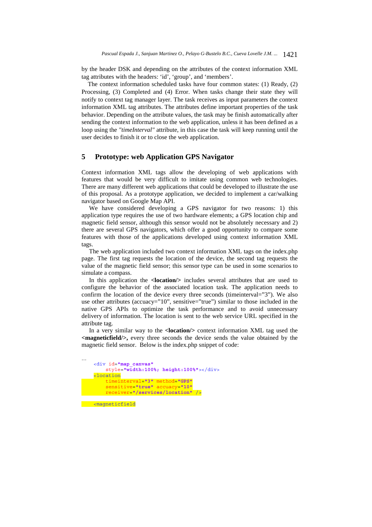by the header DSK and depending on the attributes of the context information XML tag attributes with the headers: 'id', 'group', and 'members'.

The context information scheduled tasks have four common states: (1) Ready, (2) Processing, (3) Completed and (4) Error. When tasks change their state they will notify to context tag manager layer. The task receives as input parameters the context information XML tag attributes. The attributes define important properties of the task behavior. Depending on the attribute values, the task may be finish automatically after sending the context information to the web application, unless it has been defined as a loop using the *"timeInterval"* attribute, in this case the task will keep running until the user decides to finish it or to close the web application.

# **5 Prototype: web Application GPS Navigator**

Context information XML tags allow the developing of web applications with features that would be very difficult to imitate using common web technologies. There are many different web applications that could be developed to illustrate the use of this proposal. As a prototype application, we decided to implement a car/walking navigator based on Google Map API.

We have considered developing a GPS navigator for two reasons: 1) this application type requires the use of two hardware elements; a GPS location chip and magnetic field sensor, although this sensor would not be absolutely necessary and 2) there are several GPS navigators, which offer a good opportunity to compare some features with those of the applications developed using context information XML tags.

The web application included two context information XML tags on the index.php page. The first tag requests the location of the device, the second tag requests the value of the magnetic field sensor; this sensor type can be used in some scenarios to simulate a compass.

In this application the **<location/>** includes several attributes that are used to configure the behavior of the associated location task. The application needs to confirm the location of the device every three seconds (timeinterval="3"). We also use other attributes (accuacy="10", sensitive="true") similar to those included in the native GPS APIs to optimize the task performance and to avoid unnecessary delivery of information. The location is sent to the web service URL specified in the attribute tag.

In a very similar way to the **<location/>** context information XML tag used the **<magneticfield/>,** every three seconds the device sends the value obtained by the magnetic field sensor. Below is the index.php snippet of code:

```
… 
     <div id="map_canvas" 
         style="width:100%; height:100%"></div>
     <location 
         timeinterval="3" method="GPS" 
         sensitive="true" accuacy="10"
         receiver="/services/location" />
  <magneticfield
```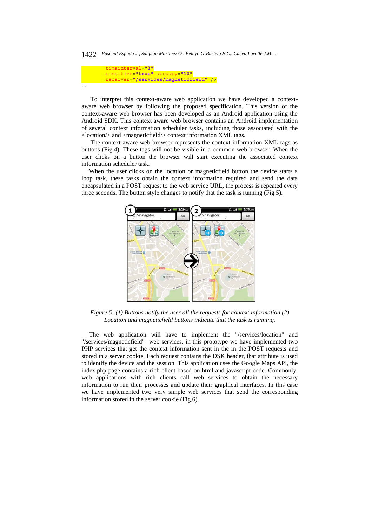```
 timeinterval="3" 
         sensitive="true" accuacy="10"
         receiver="/services/magneticfield" />
…
```
To interpret this context-aware web application we have developed a contextaware web browser by following the proposed specification. This version of the context-aware web browser has been developed as an Android application using the Android SDK. This context aware web browser contains an Android implementation of several context information scheduler tasks, including those associated with the <location/> and <magneticfield/> context information XML tags.

The context-aware web browser represents the context information XML tags as buttons (Fig.4). These tags will not be visible in a common web browser. When the user clicks on a button the browser will start executing the associated context information scheduler task.

When the user clicks on the location or magneticfield button the device starts a loop task, these tasks obtain the context information required and send the data encapsulated in a POST request to the web service URL, the process is repeated every three seconds. The button style changes to notify that the task is running (Fig.5).



*Figure 5: (1) Buttons notify the user all the requests for context information.(2) Location and magneticfield buttons indicate that the task is running.* 

The web application will have to implement the "/services/location" and "/services/magneticfield" web services, in this prototype we have implemented two PHP services that get the context information sent in the in the POST requests and stored in a server cookie. Each request contains the DSK header, that attribute is used to identify the device and the session. This application uses the Google Maps API, the index.php page contains a rich client based on html and javascript code. Commonly, web applications with rich clients call web services to obtain the necessary information to run their processes and update their graphical interfaces. In this case we have implemented two very simple web services that send the corresponding information stored in the server cookie (Fig.6).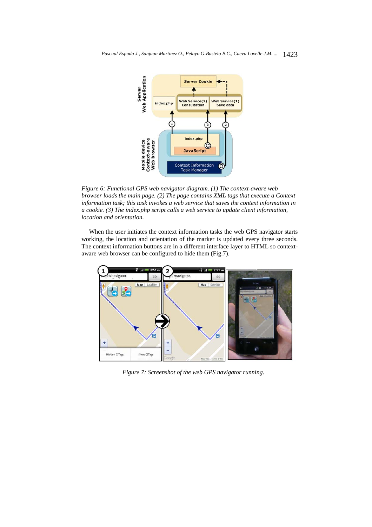

*Figure 6: Functional GPS web navigator diagram. (1) The context-aware web browser loads the main page. (2) The page contains XML tags that execute a Context information task; this task invokes a web service that saves the context information in a cookie. (3) The index.php script calls a web service to update client information, location and orientation.* 

When the user initiates the context information tasks the web GPS navigator starts working, the location and orientation of the marker is updated every three seconds. The context information buttons are in a different interface layer to HTML so contextaware web browser can be configured to hide them (Fig.7).



*Figure 7: Screenshot of the web GPS navigator running.*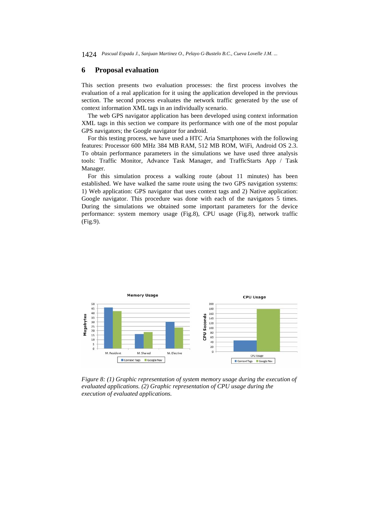# **6 Proposal evaluation**

This section presents two evaluation processes: the first process involves the evaluation of a real application for it using the application developed in the previous section. The second process evaluates the network traffic generated by the use of context information XML tags in an individually scenario.

The web GPS navigator application has been developed using context information XML tags in this section we compare its performance with one of the most popular GPS navigators; the Google navigator for android.

For this testing process, we have used a HTC Aria Smartphones with the following features: Processor 600 MHz 384 MB RAM, 512 MB ROM, WiFi, Android OS 2.3. To obtain performance parameters in the simulations we have used three analysis tools: Traffic Monitor, Advance Task Manager, and TrafficStarts App / Task Manager.

For this simulation process a walking route (about 11 minutes) has been established. We have walked the same route using the two GPS navigation systems: 1) Web application: GPS navigator that uses context tags and 2) Native application: Google navigator. This procedure was done with each of the navigators 5 times. During the simulations we obtained some important parameters for the device performance: system memory usage (Fig.8), CPU usage (Fig.8), network traffic (Fig.9).



*Figure 8: (1) Graphic representation of system memory usage during the execution of evaluated applications. (2) Graphic representation of CPU usage during the execution of evaluated applications.*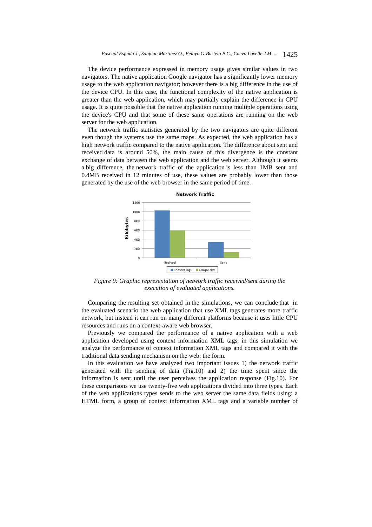The device performance expressed in memory usage gives similar values in two navigators. The native application Google navigator has a significantly lower memory usage to the web application navigator; however there is a big difference in the use of the device CPU. In this case, the functional complexity of the native application is greater than the web application, which may partially explain the difference in CPU usage. It is quite possible that the native application running multiple operations using the device's CPU and that some of these same operations are running on the web server for the web application.

The network traffic statistics generated by the two navigators are quite different even though the systems use the same maps. As expected, the web application has a high network traffic compared to the native application. The difference about sent and received data is around 50%, the main cause of this divergence is the constant exchange of data between the web application and the web server. Although it seems a big difference, the network traffic of the application is less than 1MB sent and 0.4MB received in 12 minutes of use, these values are probably lower than those generated by the use of the web browser in the same period of time.



*Figure 9: Graphic representation of network traffic received/sent during the execution of evaluated applications.* 

Comparing the resulting set obtained in the simulations, we can conclude that in the evaluated scenario the web application that use XML tags generates more traffic network, but instead it can run on many different platforms because it uses little CPU resources and runs on a context-aware web browser.

Previously we compared the performance of a native application with a web application developed using context information XML tags, in this simulation we analyze the performance of context information XML tags and compared it with the traditional data sending mechanism on the web: the form.

In this evaluation we have analyzed two important issues 1) the network traffic generated with the sending of data (Fig.10) and 2) the time spent since the information is sent until the user perceives the application response (Fig.10). For these comparisons we use twenty-five web applications divided into three types. Each of the web applications types sends to the web server the same data fields using: a HTML form, a group of context information XML tags and a variable number of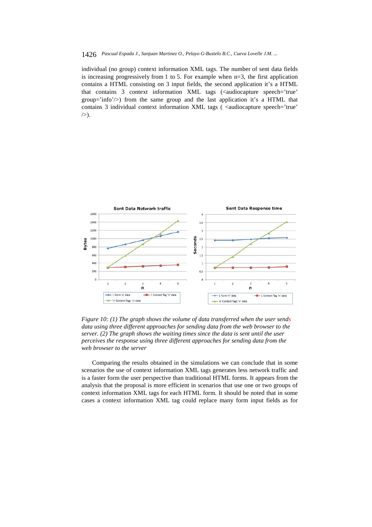individual (no group) context information XML tags. The number of sent data fields is increasing progressively from 1 to 5. For example when  $n=3$ , the first application contains a HTML consisting on 3 input fields, the second application it's a HTML that contains 3 context information XML tags (<audiocapture speech='true' group='info'/ $>$ ) from the same group and the last application it's a HTML that contains 3 individual context information XML tags ( <audiocapture speech='true'  $/$ ).



*Figure 10: (1) The graph shows the volume of data transferred when the user sends data using three different approaches for sending data from the web browser to the server. (2) The graph shows the waiting times since the data is sent until the user perceives the response using three different approaches for sending data from the web browser to the server* 

Comparing the results obtained in the simulations we can conclude that in some scenarios the use of context information XML tags generates less network traffic and is a faster form the user perspective than traditional HTML forms. It appears from the analysis that the proposal is more efficient in scenarios that use one or two groups of context information XML tags for each HTML form. It should be noted that in some cases a context information XML tag could replace many form input fields as for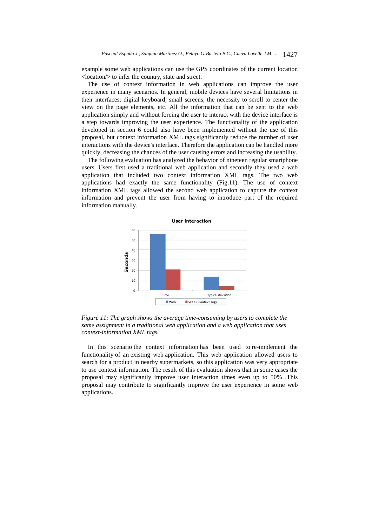example some web applications can use the GPS coordinates of the current location <location/> to infer the country, state and street.

The use of context information in web applications can improve the user experience in many scenarios. In general, mobile devices have several limitations in their interfaces: digital keyboard, small screens, the necessity to scroll to center the view on the page elements, etc. All the information that can be sent to the web application simply and without forcing the user to interact with the device interface is a step towards improving the user experience. The functionality of the application developed in section 6 could also have been implemented without the use of this proposal, but context information XML tags significantly reduce the number of user interactions with the device's interface. Therefore the application can be handled more quickly, decreasing the chances of the user causing errors and increasing the usability.

The following evaluation has analyzed the behavior of nineteen regular smartphone users. Users first used a traditional web application and secondly they used a web application that included two context information XML tags. The two web applications had exactly the same functionality (Fig.11). The use of context information XML tags allowed the second web application to capture the context information and prevent the user from having to introduce part of the required information manually.



*Figure 11: The graph shows the average time-consuming by users to complete the same assignment in a traditional web application and a web application that uses context-information XML tags.* 

In this scenario the context information has been used to re-implement the functionality of an existing web application. This web application allowed users to search for a product in nearby supermarkets, so this application was very appropriate to use context information. The result of this evaluation shows that in some cases the proposal may significantly improve user interaction times even up to 50% .This proposal may contribute to significantly improve the user experience in some web applications.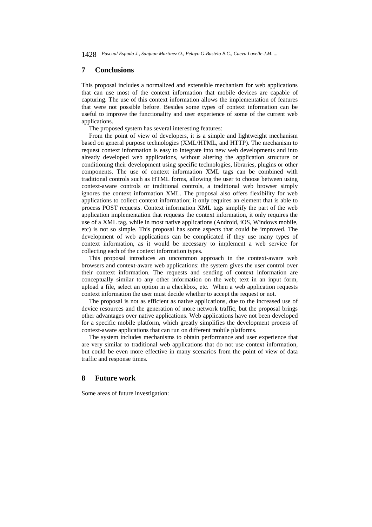# **7 Conclusions**

This proposal includes a normalized and extensible mechanism for web applications that can use most of the context information that mobile devices are capable of capturing. The use of this context information allows the implementation of features that were not possible before. Besides some types of context information can be useful to improve the functionality and user experience of some of the current web applications.

The proposed system has several interesting features:

From the point of view of developers, it is a simple and lightweight mechanism based on general purpose technologies (XML/HTML, and HTTP). The mechanism to request context information is easy to integrate into new web developments and into already developed web applications, without altering the application structure or conditioning their development using specific technologies, libraries, plugins or other components. The use of context information XML tags can be combined with traditional controls such as HTML forms, allowing the user to choose between using context-aware controls or traditional controls, a traditional web browser simply ignores the context information XML. The proposal also offers flexibility for web applications to collect context information; it only requires an element that is able to process POST requests. Context information XML tags simplify the part of the web application implementation that requests the context information, it only requires the use of a XML tag, while in most native applications (Android, iOS, Windows mobile, etc) is not so simple. This proposal has some aspects that could be improved. The development of web applications can be complicated if they use many types of context information, as it would be necessary to implement a web service for collecting each of the context information types.

This proposal introduces an uncommon approach in the context-aware web browsers and context-aware web applications: the system gives the user control over their context information. The requests and sending of context information are conceptually similar to any other information on the web; text in an input form, upload a file, select an option in a checkbox, etc. When a web application requests context information the user must decide whether to accept the request or not.

The proposal is not as efficient as native applications, due to the increased use of device resources and the generation of more network traffic, but the proposal brings other advantages over native applications. Web applications have not been developed for a specific mobile platform, which greatly simplifies the development process of context-aware applications that can run on different mobile platforms.

The system includes mechanisms to obtain performance and user experience that are very similar to traditional web applications that do not use context information, but could be even more effective in many scenarios from the point of view of data traffic and response times.

# **8 Future work**

Some areas of future investigation: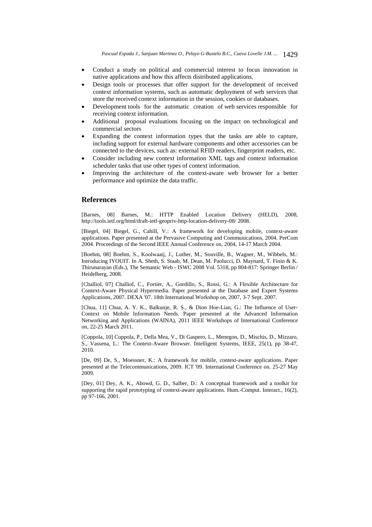- Conduct a study on political and commercial interest to focus innovation in native applications and how this affects distributed applications.
- Design tools or processes that offer support for the development of received context information systems, such as automatic deployment of web services that store the received context information in the session, cookies or databases.
- Development tools for the automatic creation of web services responsible for receiving context information.
- Additional proposal evaluations focusing on the impact on technological and commercial sectors
- Expanding the context information types that the tasks are able to capture, including support for external hardware components and other accessories can be connected to the devices, such as: external RFID readers, fingerprint readers, etc.
- Consider including new context information XML tags and context information scheduler tasks that use other types of context information.
- Improving the architecture of the context-aware web browser for a better performance and optimize the data traffic.

## **References**

[Barnes, 08] Barnes, M.: HTTP Enabled Location Delivery (HELD), 2008, http://tools.ietf.org/html/draft-ietf-geopriv-http-location-delivery-08/ 2008.

[Biegel, 04] Biegel, G., Cahill, V.: A framework for developing mobile, context-aware applications. Paper presented at the Pervasive Computing and Communications, 2004. PerCom 2004. Proceedings of the Second IEEE Annual Conference on, 2004, 14-17 March 2004.

[Boehm, 08] Boehm, S., Koolwaaij, J., Luther, M., Souville, B., Wagner, M., Wibbels, M.: Introducing IYOUIT. In A. Sheth, S. Staab, M. Dean, M. Paolucci, D. Maynard, T. Finin & K. Thirunarayan (Eds.), The Semantic Web - ISWC 2008 Vol. 5318, pp 804-817: Springer Berlin / Heidelberg, 2008.

[Challiol, 07] Challiol, C., Fortier, A., Gordillo, S., Rossi, G.: A Flexible Architecture for Context-Aware Physical Hypermedia. Paper presented at the Database and Expert Systems Applications, 2007. DEXA '07. 18th International Workshop on, 2007, 3-7 Sept. 2007.

[Chua, 11] Chua, A. Y. K., Balkunje, R. S., & Dion Hoe-Lian, G.: The Influence of User-Context on Mobile Information Needs. Paper presented at the Advanced Information Networking and Applications (WAINA), 2011 IEEE Workshops of International Conference on, 22-25 March 2011.

[Coppola, 10] Coppola, P., Della Mea, V., Di Gaspero, L., Menegon, D., Mischis, D., Mizzaro, S., Vassena, L.: The Context-Aware Browser. Intelligent Systems, IEEE, 25(1), pp 38-47, 2010.

[De, 09] De, S., Moessner, K.: A framework for mobile, context-aware applications. Paper presented at the Telecommunications, 2009. ICT '09. International Conference on. 25-27 May 2009.

[Dey, 01] Dey, A. K., Abowd, G. D., Salber, D.: A conceptual framework and a toolkit for supporting the rapid prototyping of context-aware applications. Hum.-Comput. Interact., 16(2), pp 97-166, 2001.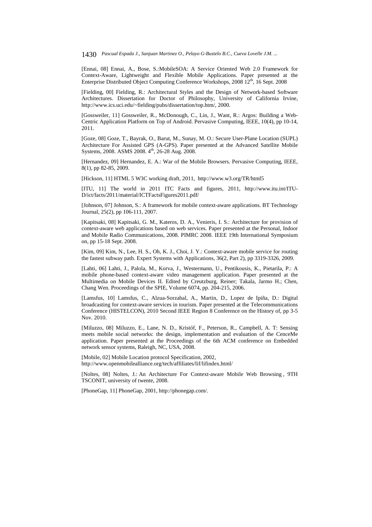[Ennai, 08] Ennai, A., Bose, S.:MobileSOA: A Service Oriented Web 2.0 Framework for Context-Aware, Lightweight and Flexible Mobile Applications. Paper presented at the Enterprise Distributed Object Computing Conference Workshops, 2008 12<sup>th</sup>, 16 Sept. 2008

[Fielding, 00] Fielding, R.: Architectural Styles and the Design of Network-based Software Architectures. Dissertation for Doctor of Philosophy, University of California Irvine, http://www.ics.uci.edu/~fielding/pubs/dissertation/top.htm/, 2000.

[Gossweiler, 11] Gossweiler, R., McDonough, C., Lin, J., Want, R.: Argos: Building a Web-Centric Application Platform on Top of Android. Pervasive Computing, IEEE, 10(4), pp 10-14, 2011.

[Goze, 08] Goze, T., Bayrak, O., Barut, M., Sunay, M. O.: Secure User-Plane Location (SUPL) Architecture For Assisted GPS (A-GPS). Paper presented at the Advanced Satellite Mobile Systems, 2008. ASMS 2008. 4<sup>th</sup>, 26-28 Aug. 2008.

[Hernandez, 09] Hernandez, E. A.: War of the Mobile Browsers. Pervasive Computing, IEEE, 8(1), pp 82-85, 2009.

[Hickson, 11] HTML 5 W3C working draft, 2011, http://www.w3.org/TR/html5

[ITU, 11] The world in 2011 ITC Facts and figures, 2011, http://www.itu.int/ITU-D/ict/facts/2011/material/ICTFactsFigures2011.pdf/

[Johnson, 07] Johnson, S.: A framework for mobile context-aware applications. BT Technology Journal, 25(2), pp 106-111, 2007.

[Kapitsaki, 08] Kapitsaki, G. M., Kateros, D. A., Venieris, I. S.: Architecture for provision of context-aware web applications based on web services. Paper presented at the Personal, Indoor and Mobile Radio Communications, 2008. PIMRC 2008. IEEE 19th International Symposium on, pp 15-18 Sept. 2008.

[Kim, 09] Kim, N., Lee, H. S., Oh, K. J., Choi, J. Y.: Context-aware mobile service for routing the fastest subway path. Expert Systems with Applications, 36(2, Part 2), pp 3319-3326, 2009.

[Lahti, 06] Lahti, J., Palola, M., Korva, J., Westermann, U., Pentikousis, K., Pietarila, P.: A mobile phone-based context-aware video management application. Paper presented at the Multimedia on Mobile Devices II. Edited by Creutzburg, Reiner; Takala, Jarmo H.; Chen, Chang Wen. Proceedings of the SPIE, Volume 6074, pp. 204-215, 2006.

[Lamsfus, 10] Lamsfus, C., Alzua-Sorzabal, A., Martin, D., Lopez de Ipiña, D.: Digital broadcasting for context-aware services in tourism. Paper presented at the Telecommunications Conference (HISTELCON), 2010 Second IEEE Region 8 Conference on the History of, pp 3-5 Nov. 2010.

[Miluzzo, 08] Miluzzo, E., Lane, N. D., Kristóf, F., Peterson, R., Campbell, A. T: Sensing meets mobile social networks: the design, implementation and evaluation of the CenceMe application. Paper presented at the Proceedings of the 6th ACM conference on Embedded network sensor systems, Raleigh, NC, USA, 2008.

[Mobile, 02] Mobile Location protocol Specification, 2002, http://www.openmobilealliance.org/tech/affiliates/lif/lifindex.html/

[Noltes, 08] Noltes, J.: An Architecture For Context-aware Mobile Web Browsing , 9TH TSCONIT, university of twente, 2008.

[PhoneGap, 11] PhoneGap, 2001, http://phonegap.com/.